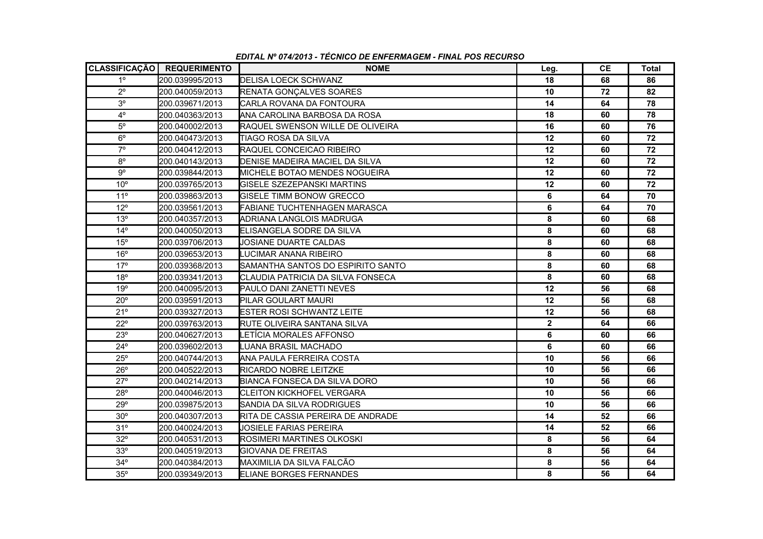|                 | CLASSIFICAÇÃO   REQUERIMENTO | <b>NOME</b>                         | Leg.         | CЕ | Total |
|-----------------|------------------------------|-------------------------------------|--------------|----|-------|
| $1^{\circ}$     | 200.039995/2013              | <b>DELISA LOECK SCHWANZ</b>         | 18           | 68 | 86    |
| $2^{\circ}$     | 200.040059/2013              | RENATA GONÇALVES SOARES             | 10           | 72 | 82    |
| 3 <sup>o</sup>  | 200.039671/2013              | ICARLA ROVANA DA FONTOURA           | 14           | 64 | 78    |
| $4^{\circ}$     | 200.040363/2013              | IANA CAROLINA BARBOSA DA ROSA       | 18           | 60 | 78    |
| $5^{\rm o}$     | 200.040002/2013              | RAQUEL SWENSON WILLE DE OLIVEIRA    | 16           | 60 | 76    |
| $6^{\circ}$     | 200.040473/2013              | TIAGO ROSA DA SILVA                 | 12           | 60 | 72    |
| $7^\circ$       | 200.040412/2013              | <b>RAQUEL CONCEICAO RIBEIRO</b>     | 12           | 60 | 72    |
| $8^{\circ}$     | 200.040143/2013              | DENISE MADEIRA MACIEL DA SILVA      | 12           | 60 | 72    |
| $9^{\circ}$     | 200.039844/2013              | MICHELE BOTAO MENDES NOGUEIRA       | 12           | 60 | 72    |
| $10^{\circ}$    | 200.039765/2013              | IGISELE SZEZEPANSKI MARTINS         | 12           | 60 | 72    |
| 11 <sup>°</sup> | 200.039863/2013              | <b>IGISELE TIMM BONOW GRECCO</b>    | 6            | 64 | 70    |
| $12^{\circ}$    | 200.039561/2013              | FABIANE TUCHTENHAGEN MARASCA        | 6            | 64 | 70    |
| 13°             | 200.040357/2013              | ADRIANA LANGLOIS MADRUGA            | 8            | 60 | 68    |
| $14^{\circ}$    | 200.040050/2013              | <b>IELISANGELA SODRE DA SILVA</b>   | 8            | 60 | 68    |
| $15^{\circ}$    | 200.039706/2013              | JOSIANE DUARTE CALDAS               | 8            | 60 | 68    |
| $16^{\circ}$    | 200.039653/2013              | LUCIMAR ANANA RIBEIRO               | 8            | 60 | 68    |
| 17°             | 200.039368/2013              | SAMANTHA SANTOS DO ESPIRITO SANTO   | 8            | 60 | 68    |
| 18°             | 200.039341/2013              | CLAUDIA PATRICIA DA SILVA FONSECA   | 8            | 60 | 68    |
| 19°             | 200.040095/2013              | PAULO DANI ZANETTI NEVES            | 12           | 56 | 68    |
| $20^{\circ}$    | 200.039591/2013              | <b>PILAR GOULART MAURI</b>          | 12           | 56 | 68    |
| 21°             | 200.039327/2013              | <b>ESTER ROSI SCHWANTZ LEITE</b>    | 12           | 56 | 68    |
| $22^{\circ}$    | 200.039763/2013              | <b>IRUTE OLIVEIRA SANTANA SILVA</b> | $\mathbf{2}$ | 64 | 66    |
| 23°             | 200.040627/2013              | LETÍCIA MORALES AFFONSO             | 6            | 60 | 66    |
| $24^{\circ}$    | 200.039602/2013              | LUANA BRASIL MACHADO                | 6            | 60 | 66    |
| $25^{\circ}$    | 200.040744/2013              | IANA PAULA FERREIRA COSTA           | 10           | 56 | 66    |
| $26^{\circ}$    | 200.040522/2013              | RICARDO NOBRE LEITZKE               | 10           | 56 | 66    |
| $27^{\circ}$    | 200.040214/2013              | <b>BIANCA FONSECA DA SILVA DORO</b> | 10           | 56 | 66    |
| 28°             | 200.040046/2013              | <b>CLEITON KICKHOFEL VERGARA</b>    | 10           | 56 | 66    |
| 29°             | 200.039875/2013              | SANDIA DA SILVA RODRIGUES           | 10           | 56 | 66    |
| $30^{\circ}$    | 200.040307/2013              | RITA DE CASSIA PEREIRA DE ANDRADE   | 14           | 52 | 66    |
| 31°             | 200.040024/2013              | <b>JOSIELE FARIAS PEREIRA</b>       | 14           | 52 | 66    |
| $32^{\circ}$    | 200.040531/2013              | <b>IROSIMERI MARTINES OLKOSKI</b>   | 8            | 56 | 64    |
| 33°             | 200.040519/2013              | <b>GIOVANA DE FREITAS</b>           | 8            | 56 | 64    |
| $34^\circ$      | 200.040384/2013              | MAXIMILIA DA SILVA FALCÃO           | 8            | 56 | 64    |
| 35°             | 200.039349/2013              | <b>ELIANE BORGES FERNANDES</b>      | 8            | 56 | 64    |

*EDITAL Nº 074/2013 - TÉCNICO DE ENFERMAGEM - FINAL POS RECURSO*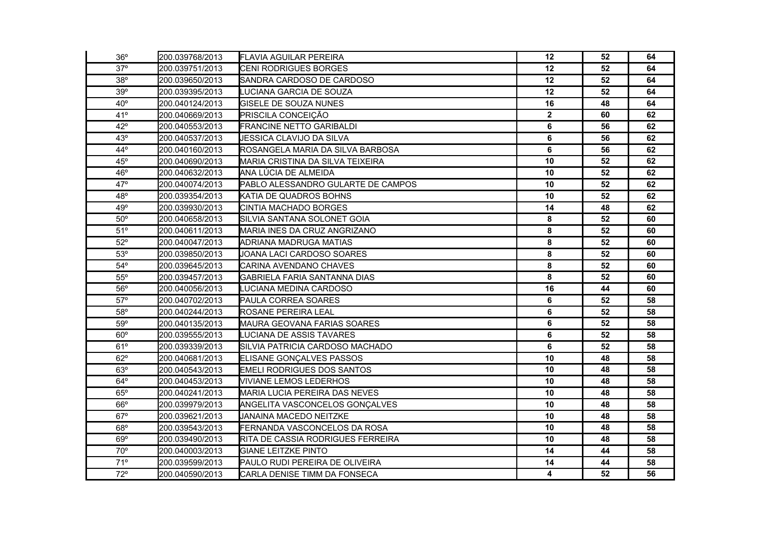| 36°          | 200.039768/2013 | <b>FLAVIA AGUILAR PEREIRA</b>        | $12 \,$     | 52 | 64 |
|--------------|-----------------|--------------------------------------|-------------|----|----|
| $37^\circ$   | 200.039751/2013 | <b>CENI RODRIGUES BORGES</b>         | 12          | 52 | 64 |
| 38°          | 200.039650/2013 | SANDRA CARDOSO DE CARDOSO            | 12          | 52 | 64 |
| 39°          | 200.039395/2013 | LUCIANA GARCIA DE SOUZA              | 12          | 52 | 64 |
| $40^{\circ}$ | 200.040124/2013 | <b>GISELE DE SOUZA NUNES</b>         | 16          | 48 | 64 |
| 41°          | 200.040669/2013 | PRISCILA CONCEIÇÃO                   | $\mathbf 2$ | 60 | 62 |
| $42^{\circ}$ | 200.040553/2013 | FRANCINE NETTO GARIBALDI             | 6           | 56 | 62 |
| 43°          | 200.040537/2013 | JESSICA CLAVIJO DA SILVA             | 6           | 56 | 62 |
| $44^{\circ}$ | 200.040160/2013 | ROSANGELA MARIA DA SILVA BARBOSA     | 6           | 56 | 62 |
| 45°          | 200.040690/2013 | MARIA CRISTINA DA SILVA TEIXEIRA     | 10          | 52 | 62 |
| 46°          | 200.040632/2013 | ANA LÚCIA DE ALMEIDA                 | 10          | 52 | 62 |
| $47^\circ$   | 200.040074/2013 | PABLO ALESSANDRO GULARTE DE CAMPOS   | 10          | 52 | 62 |
| 48°          | 200.039354/2013 | KATIA DE QUADROS BOHNS               | 10          | 52 | 62 |
| 49°          | 200.039930/2013 | <b>CINTIA MACHADO BORGES</b>         | 14          | 48 | 62 |
| $50^\circ$   | 200.040658/2013 | SILVIA SANTANA SOLONET GOIA          | 8           | 52 | 60 |
| 51°          | 200.040611/2013 | MARIA INES DA CRUZ ANGRIZANO         | 8           | 52 | 60 |
| $52^{\circ}$ | 200.040047/2013 | ADRIANA MADRUGA MATIAS               | 8           | 52 | 60 |
| 53°          | 200.039850/2013 | JOANA LACI CARDOSO SOARES            | 8           | 52 | 60 |
| $54^{\circ}$ | 200.039645/2013 | CARINA AVENDANO CHAVES               | 8           | 52 | 60 |
| $55^{\circ}$ | 200.039457/2013 | GABRIELA FARIA SANTANNA DIAS         | 8           | 52 | 60 |
| 56°          | 200.040056/2013 | LUCIANA MEDINA CARDOSO               | 16          | 44 | 60 |
| $57^\circ$   | 200.040702/2013 | PAULA CORREA SOARES                  | 6           | 52 | 58 |
| 58°          | 200.040244/2013 | ROSANE PEREIRA LEAL                  | 6           | 52 | 58 |
| 59°          | 200.040135/2013 | MAURA GEOVANA FARIAS SOARES          | 6           | 52 | 58 |
| $60^\circ$   | 200.039555/2013 | LUCIANA DE ASSIS TAVARES             | 6           | 52 | 58 |
| 61°          | 200.039339/2013 | SILVIA PATRICIA CARDOSO MACHADO      | 6           | 52 | 58 |
| $62^\circ$   | 200.040681/2013 | ELISANE GONÇALVES PASSOS             | 10          | 48 | 58 |
| 63°          | 200.040543/2013 | <b>EMELI RODRIGUES DOS SANTOS</b>    | 10          | 48 | 58 |
| $64^{\circ}$ | 200.040453/2013 | <b>VIVIANE LEMOS LEDERHOS</b>        | 10          | 48 | 58 |
| 65°          | 200.040241/2013 | <b>MARIA LUCIA PEREIRA DAS NEVES</b> | 10          | 48 | 58 |
| $66^{\circ}$ | 200.039979/2013 | ANGELITA VASCONCELOS GONÇALVES       | 10          | 48 | 58 |
| $67^\circ$   | 200.039621/2013 | JANAINA MACEDO NEITZKE               | 10          | 48 | 58 |
| 68°          | 200.039543/2013 | FERNANDA VASCONCELOS DA ROSA         | 10          | 48 | 58 |
| 69°          | 200.039490/2013 | RITA DE CASSIA RODRIGUES FERREIRA    | 10          | 48 | 58 |
| $70^{\circ}$ | 200.040003/2013 | <b>GIANE LEITZKE PINTO</b>           | 14          | 44 | 58 |
| 71°          | 200.039599/2013 | PAULO RUDI PEREIRA DE OLIVEIRA       | 14          | 44 | 58 |
| $72^{\circ}$ | 200.040590/2013 | CARLA DENISE TIMM DA FONSECA         | 4           | 52 | 56 |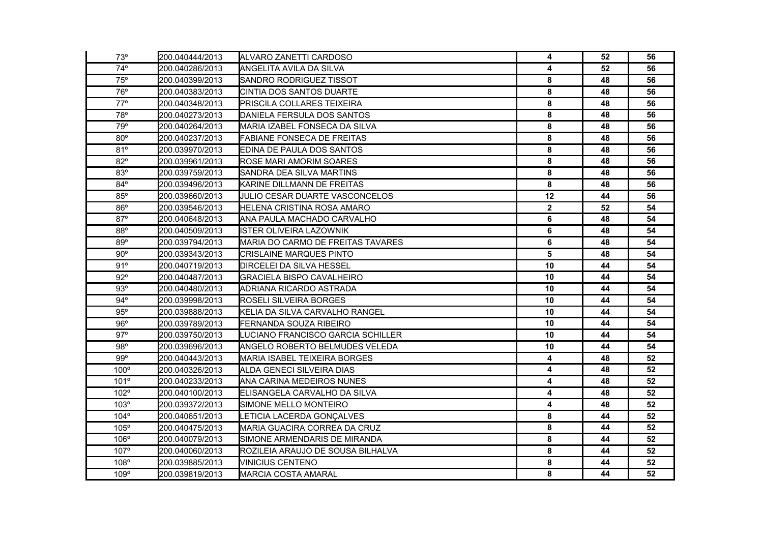| $73^\circ$   | 200.040444/2013 | ALVARO ZANETTI CARDOSO            | 4           | 52 | 56 |
|--------------|-----------------|-----------------------------------|-------------|----|----|
| $74^{\circ}$ | 200.040286/2013 | ANGELITA AVILA DA SILVA           | 4           | 52 | 56 |
| 75°          | 200.040399/2013 | SANDRO RODRIGUEZ TISSOT           | 8           | 48 | 56 |
| 76°          | 200.040383/2013 | CINTIA DOS SANTOS DUARTE          | 8           | 48 | 56 |
| $77^{\circ}$ | 200.040348/2013 | PRISCILA COLLARES TEIXEIRA        | 8           | 48 | 56 |
| 78°          | 200.040273/2013 | DANIELA FERSULA DOS SANTOS        | 8           | 48 | 56 |
| 79°          | 200.040264/2013 | MARIA IZABEL FONSECA DA SILVA     | 8           | 48 | 56 |
| $80^\circ$   | 200.040237/2013 | <b>FABIANE FONSECA DE FREITAS</b> | 8           | 48 | 56 |
| 81°          | 200.039970/2013 | EDINA DE PAULA DOS SANTOS         | 8           | 48 | 56 |
| $82^\circ$   | 200.039961/2013 | <b>ROSE MARI AMORIM SOARES</b>    | 8           | 48 | 56 |
| 83°          | 200.039759/2013 | SANDRA DEA SILVA MARTINS          | 8           | 48 | 56 |
| $84^{\circ}$ | 200.039496/2013 | KARINE DILLMANN DE FREITAS        | 8           | 48 | 56 |
| 85°          | 200.039660/2013 | JULIO CESAR DUARTE VASCONCELOS    | 12          | 44 | 56 |
| 86°          | 200.039546/2013 | HELENA CRISTINA ROSA AMARO        | $\mathbf 2$ | 52 | 54 |
| 87°          | 200.040648/2013 | ANA PAULA MACHADO CARVALHO        | 6           | 48 | 54 |
| 88°          | 200.040509/2013 | <b>ISTER OLIVEIRA LAZOWNIK</b>    | 6           | 48 | 54 |
| 89°          | 200.039794/2013 | MARIA DO CARMO DE FREITAS TAVARES | 6           | 48 | 54 |
| $90^\circ$   | 200.039343/2013 | <b>CRISLAINE MARQUES PINTO</b>    | 5           | 48 | 54 |
| 91°          | 200.040719/2013 | <b>DIRCELEI DA SILVA HESSEL</b>   | 10          | 44 | 54 |
| $92^\circ$   | 200.040487/2013 | <b>GRACIELA BISPO CAVALHEIRO</b>  | 10          | 44 | 54 |
| 93°          | 200.040480/2013 | ADRIANA RICARDO ASTRADA           | 10          | 44 | 54 |
| $94^{\circ}$ | 200.039998/2013 | ROSELI SILVEIRA BORGES            | 10          | 44 | 54 |
| 95°          | 200.039888/2013 | KELIA DA SILVA CARVALHO RANGEL    | 10          | 44 | 54 |
| 96°          | 200.039789/2013 | FERNANDA SOUZA RIBEIRO            | 10          | 44 | 54 |
| $97^\circ$   | 200.039750/2013 | LUCIANO FRANCISCO GARCIA SCHILLER | 10          | 44 | 54 |
| 98°          | 200.039696/2013 | ANGELO ROBERTO BELMUDES VELEDA    | 10          | 44 | 54 |
| 99°          | 200.040443/2013 | MARIA ISABEL TEIXEIRA BORGES      | 4           | 48 | 52 |
| $100^\circ$  | 200.040326/2013 | ALDA GENECI SILVEIRA DIAS         | 4           | 48 | 52 |
| 101°         | 200.040233/2013 | ANA CARINA MEDEIROS NUNES         | 4           | 48 | 52 |
| 102°         | 200.040100/2013 | ELISANGELA CARVALHO DA SILVA      | 4           | 48 | 52 |
| 103°         | 200.039372/2013 | SIMONE MELLO MONTEIRO             | 4           | 48 | 52 |
| $104^\circ$  | 200.040651/2013 | LETICIA LACERDA GONÇALVES         | 8           | 44 | 52 |
| 105°         | 200.040475/2013 | MARIA GUACIRA CORREA DA CRUZ      | 8           | 44 | 52 |
| 106°         | 200.040079/2013 | SIMONE ARMENDARIS DE MIRANDA      | 8           | 44 | 52 |
| 107°         | 200.040060/2013 | ROZILEIA ARAUJO DE SOUSA BILHALVA | 8           | 44 | 52 |
| 108°         | 200.039885/2013 | <b>VINICIUS CENTENO</b>           | 8           | 44 | 52 |
| 109°         | 200.039819/2013 | <b>MARCIA COSTA AMARAL</b>        | 8           | 44 | 52 |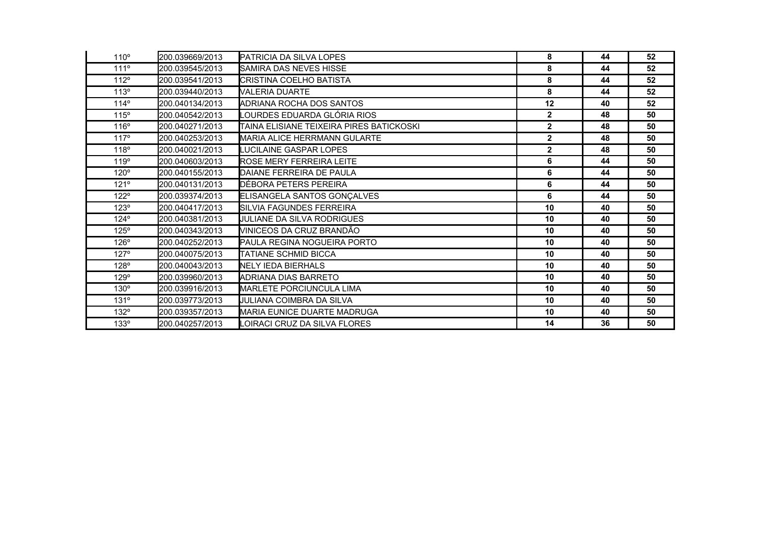| 110°        | 200.039669/2013 | PATRICIA DA SILVA LOPES                   | 8              | 44 | 52 |
|-------------|-----------------|-------------------------------------------|----------------|----|----|
| 111°        | 200.039545/2013 | ISAMIRA DAS NEVES HISSE                   | 8              | 44 | 52 |
| 112°        | 200.039541/2013 | CRISTINA COELHO BATISTA                   | 8              | 44 | 52 |
| 113°        | 200.039440/2013 | VALERIA DUARTE                            | 8              | 44 | 52 |
| 114°        | 200.040134/2013 | ADRIANA ROCHA DOS SANTOS                  | 12             | 40 | 52 |
| 115°        | 200.040542/2013 | LOURDES EDUARDA GLÓRIA RIOS               | $\mathbf{2}$   | 48 | 50 |
| 116°        | 200.040271/2013 | ITAINA ELISIANE TEIXEIRA PIRES BATICKOSKI | $\overline{2}$ | 48 | 50 |
| 117°        | 200.040253/2013 | IMARIA ALICE HERRMANN GULARTE             | $\overline{2}$ | 48 | 50 |
| 118°        | 200.040021/2013 | LUCILAINE GASPAR LOPES                    | $\mathbf{2}$   | 48 | 50 |
| 119°        | 200.040603/2013 | ROSE MERY FERREIRA LEITE                  | 6              | 44 | 50 |
| $120^\circ$ | 200.040155/2013 | DAIANE FERREIRA DE PAULA                  | 6              | 44 | 50 |
| 121°        | 200.040131/2013 | DÉBORA PETERS PEREIRA                     | 6              | 44 | 50 |
| $122^\circ$ | 200.039374/2013 | ELISANGELA SANTOS GONÇALVES               | 6              | 44 | 50 |
| 123°        | 200.040417/2013 | ISILVIA FAGUNDES FERREIRA                 | 10             | 40 | 50 |
| $124^\circ$ | 200.040381/2013 | JULIANE DA SILVA RODRIGUES                | 10             | 40 | 50 |
| $125^\circ$ | 200.040343/2013 | VINICEOS DA CRUZ BRANDÃO                  | 10             | 40 | 50 |
| $126^\circ$ | 200.040252/2013 | PAULA REGINA NOGUEIRA PORTO               | 10             | 40 | 50 |
| $127^\circ$ | 200.040075/2013 | ITATIANE SCHMID BICCA                     | 10             | 40 | 50 |
| $128^\circ$ | 200.040043/2013 | NELY IEDA BIERHALS                        | 10             | 40 | 50 |
| 129°        | 200.039960/2013 | ADRIANA DIAS BARRETO                      | 10             | 40 | 50 |
| $130^\circ$ | 200.039916/2013 | <b>MARLETE PORCIUNCULA LIMA</b>           | 10             | 40 | 50 |
| $131^\circ$ | 200.039773/2013 | IJULIANA COIMBRA DA SILVA                 | 10             | 40 | 50 |
| 132°        | 200.039357/2013 | MARIA EUNICE DUARTE MADRUGA               | 10             | 40 | 50 |
| $133^\circ$ | 200.040257/2013 | OIRACI CRUZ DA SILVA FLORES               | 14             | 36 | 50 |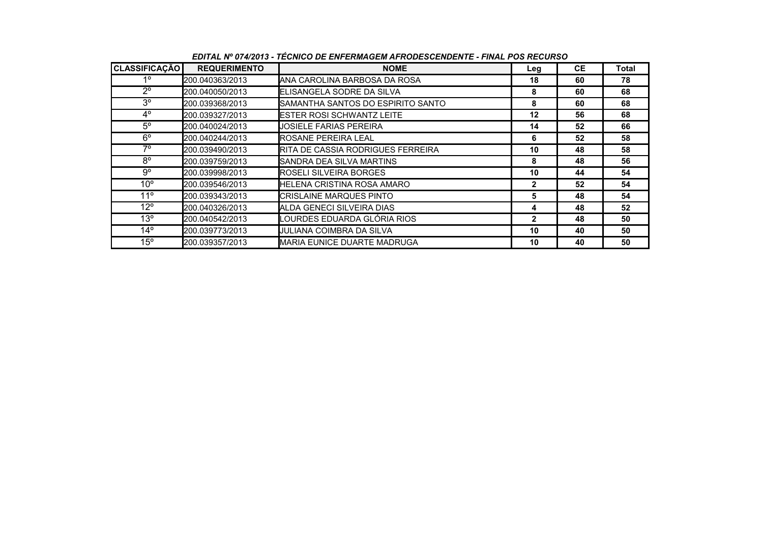| <b>CLASSIFICAÇÃO</b> | <b>REQUERIMENTO</b> | <b>NOME</b>                              | Leg          | <b>CE</b> | Total |
|----------------------|---------------------|------------------------------------------|--------------|-----------|-------|
| 10                   | 200.040363/2013     | IANA CAROLINA BARBOSA DA ROSA            | 18           | 60        | 78    |
| $2^{\circ}$          | 200.040050/2013     | <b>I</b> ELISANGELA SODRE DA SILVA       | 8            | 60        | 68    |
| $3^{\circ}$          | 200.039368/2013     | SAMANTHA SANTOS DO ESPIRITO SANTO        | 8            | 60        | 68    |
| $4^{\circ}$          | 200.039327/2013     | <b>ESTER ROSI SCHWANTZ LEITE</b>         | $12 \,$      | 56        | 68    |
| $5^\circ$            | 200.040024/2013     | <b>JOSIELE FARIAS PEREIRA</b>            | 14           | 52        | 66    |
| $6^{\circ}$          | 200.040244/2013     | <b>IROSANE PEREIRA LEAL</b>              | 6            | 52        | 58    |
| 70                   | 200.039490/2013     | <b>RITA DE CASSIA RODRIGUES FERREIRA</b> | 10           | 48        | 58    |
| $8^{\circ}$          | 200.039759/2013     | SANDRA DEA SILVA MARTINS                 | 8            | 48        | 56    |
| 9°                   | 200.039998/2013     | <b>IROSELI SILVEIRA BORGES</b>           | 10           | 44        | 54    |
| $10^{\circ}$         | 200.039546/2013     | <b>HELENA CRISTINA ROSA AMARO</b>        | 2            | 52        | 54    |
| $11^{\circ}$         | 200.039343/2013     | <b>I</b> CRISLAINE MARQUES PINTO         | 5            | 48        | 54    |
| $12^{\circ}$         | 200.040326/2013     | ALDA GENECI SILVEIRA DIAS                | 4            | 48        | 52    |
| $13^{\circ}$         | 200.040542/2013     | LOURDES EDUARDA GLÓRIA RIOS              | $\mathbf{2}$ | 48        | 50    |
| $14^{\circ}$         | 200.039773/2013     | UULIANA COIMBRA DA SILVA                 | 10           | 40        | 50    |
| $15^{\circ}$         | 200.039357/2013     | <b>MARIA EUNICE DUARTE MADRUGA</b>       | 10           | 40        | 50    |

*EDITAL Nº 074/2013 - TÉCNICO DE ENFERMAGEM AFRODESCENDENTE - FINAL POS RECURSO*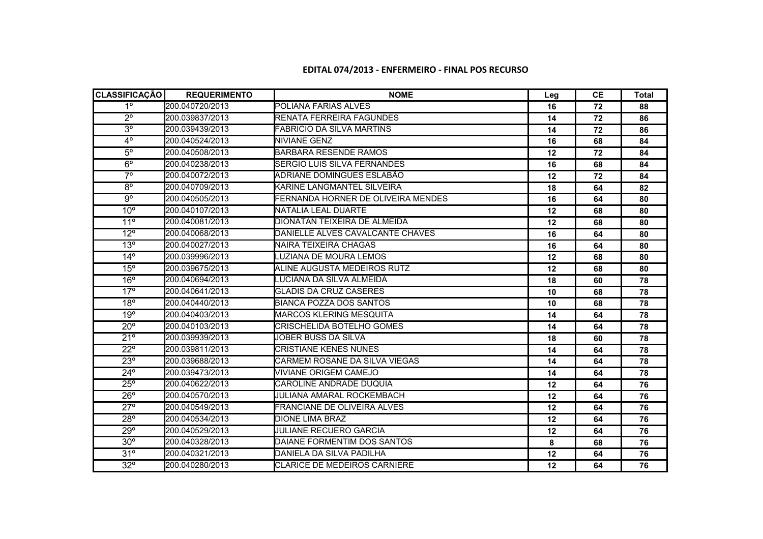## **EDITAL 074/2013 - ENFERMEIRO - FINAL POS RECURSO**

| <b>CLASSIFICAÇÃO</b>    | <b>REQUERIMENTO</b> | <b>NOME</b>                        | Leg | <b>CE</b> | <b>Total</b> |
|-------------------------|---------------------|------------------------------------|-----|-----------|--------------|
| $1^{\circ}$             | 200.040720/2013     | POLIANA FARIAS ALVES               | 16  | 72        | 88           |
| $\overline{2^{\circ}}$  | 200.039837/2013     | RENATA FERREIRA FAGUNDES           | 14  | 72        | 86           |
| $3^{\circ}$             | 200.039439/2013     | <b>FABRICIO DA SILVA MARTINS</b>   | 14  | 72        | 86           |
| $\overline{4^{\circ}}$  | 200.040524/2013     | NIVIANE GENZ                       | 16  | 68        | 84           |
| $5^{\circ}$             | 200.040508/2013     | <b>BARBARA RESENDE RAMOS</b>       | 12  | 72        | 84           |
| $6^{\circ}$             | 200.040238/2013     | SERGIO LUIS SILVA FERNANDES        | 16  | 68        | 84           |
| $\overline{7^{\circ}}$  | 200.040072/2013     | ADRIANE DOMINGUES ESLABÃO          | 12  | 72        | 84           |
| $\overline{8^\circ}$    | 200.040709/2013     | KARINE LANGMANTEL SILVEIRA         | 18  | 64        | 82           |
| $\overline{9^{\circ}}$  | 200.040505/2013     | FERNANDA HORNER DE OLIVEIRA MENDES | 16  | 64        | 80           |
| 10 <sup>o</sup>         | 200.040107/2013     | INATALIA LEAL DUARTE               | 12  | 68        | 80           |
| 11 <sup>°</sup>         | 200.040081/2013     | DIONATAN TEIXEIRA DE ALMEIDA       | 12  | 68        | 80           |
| $12^{\circ}$            | 200.040068/2013     | DANIELLE ALVES CAVALCANTE CHAVES   | 16  | 64        | 80           |
| 13°                     | 200.040027/2013     | NAIRA TEIXEIRA CHAGAS              | 16  | 64        | 80           |
| $14^{\circ}$            | 200.039996/2013     | LUZIANA DE MOURA LEMOS             | 12  | 68        | 80           |
| $15^{\circ}$            | 200.039675/2013     | ALINE AUGUSTA MEDEIROS RUTZ        | 12  | 68        | 80           |
| $16^{\circ}$            | 200.040694/2013     | LUCIANA DA SILVA ALMEIDA           | 18  | 60        | 78           |
| $17^\circ$              | 200.040641/2013     | <b>GLADIS DA CRUZ CASERES</b>      | 10  | 68        | 78           |
| 18 <sup>o</sup>         | 200.040440/2013     | <b>BIANCA POZZA DOS SANTOS</b>     | 10  | 68        | 78           |
| $19^\circ$              | 200.040403/2013     | <b>MARCOS KLERING MESQUITA</b>     | 14  | 64        | 78           |
| $20^\circ$              | 200.040103/2013     | CRISCHELIDA BOTELHO GOMES          | 14  | 64        | 78           |
| $21^{\circ}$            | 200.039939/2013     | JOBER BUSS DA SILVA                | 18  | 60        | 78           |
| $22^\circ$              | 200.039811/2013     | <b>CRISTIANE KENES NUNES</b>       | 14  | 64        | 78           |
| $23^\circ$              | 200.039688/2013     | CARMEM ROSANE DA SILVA VIEGAS      | 14  | 64        | 78           |
| $24^{\circ}$            | 200.039473/2013     | <b>VIVIANE ORIGEM CAMEJO</b>       | 14  | 64        | 78           |
| $25^\circ$              | 200.040622/2013     | CAROLINE ANDRADE DUQUIA            | 12  | 64        | 76           |
| $26^\circ$              | 200.040570/2013     | JULIANA AMARAL ROCKEMBACH          | 12  | 64        | 76           |
| $27^\circ$              | 200.040549/2013     | FRANCIANE DE OLIVEIRA ALVES        | 12  | 64        | 76           |
| 28°                     | 200.040534/2013     | <b>DIONE LIMA BRAZ</b>             | 12  | 64        | 76           |
| $29^\circ$              | 200.040529/2013     | JULIANE RECUERO GARCIA             | 12  | 64        | 76           |
| $30^\circ$              | 200.040328/2013     | DAIANE FORMENTIM DOS SANTOS        | 8   | 68        | 76           |
| $31^\circ$              | 200.040321/2013     | DANIELA DA SILVA PADILHA           | 12  | 64        | 76           |
| $\overline{32^{\circ}}$ | 200.040280/2013     | CLARICE DE MEDEIROS CARNIERE       | 12  | 64        | 76           |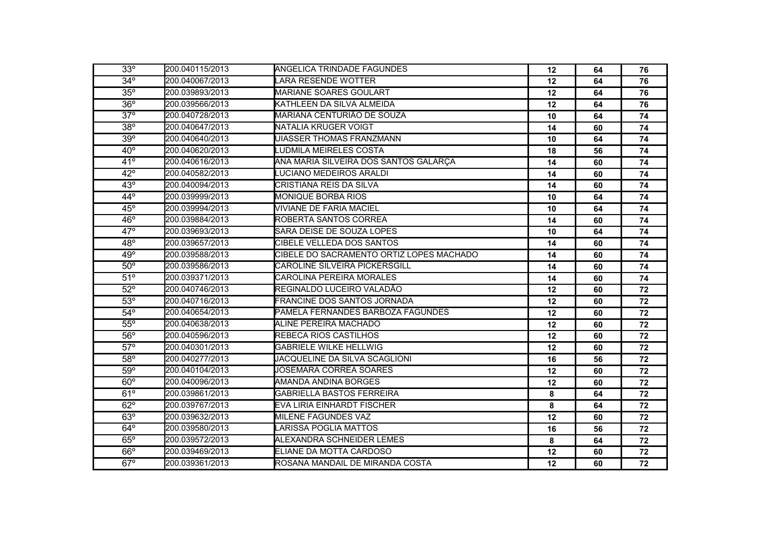| 33°          | 200.040115/2013 | <b>ANGELICA TRINDADE FAGUNDES</b>        | $12 \,$ | 64 | 76 |
|--------------|-----------------|------------------------------------------|---------|----|----|
| $34^\circ$   | 200.040067/2013 | <b>LARA RESENDE WOTTER</b>               | 12      | 64 | 76 |
| $35^\circ$   | 200.039893/2013 | <b>MARIANE SOARES GOULART</b>            | 12      | 64 | 76 |
| $36^\circ$   | 200.039566/2013 | KATHLEEN DA SILVA ALMEIDA                | 12      | 64 | 76 |
| $37^\circ$   | 200.040728/2013 | MARIANA CENTURIÃO DE SOUZA               | 10      | 64 | 74 |
| $38^\circ$   | 200.040647/2013 | NATALIA KRUGER VOIGT                     | 14      | 60 | 74 |
| $39^\circ$   | 200.040640/2013 | UIASSER THOMAS FRANZMANN                 | 10      | 64 | 74 |
| $40^{\circ}$ | 200.040620/2013 | LUDMILA MEIRELES COSTA                   | 18      | 56 | 74 |
| 41°          | 200.040616/2013 | ANA MARIA SILVEIRA DOS SANTOS GALARÇA    | 14      | 60 | 74 |
| $42^{\circ}$ | 200.040582/2013 | LUCIANO MEDEIROS ARALDI                  | 14      | 60 | 74 |
| 43°          | 200.040094/2013 | <b>CRISTIANA REIS DA SILVA</b>           | 14      | 60 | 74 |
| $44^\circ$   | 200.039999/2013 | <b>MONIQUE BORBA RIOS</b>                | 10      | 64 | 74 |
| $45^\circ$   | 200.039994/2013 | VIVIANE DE FARIA MACIEL                  | 10      | 64 | 74 |
| $46^\circ$   | 200.039884/2013 | ROBERTA SANTOS CORREA                    | 14      | 60 | 74 |
| $47^\circ$   | 200.039693/2013 | SARA DEISE DE SOUZA LOPES                | 10      | 64 | 74 |
| $48^\circ$   | 200.039657/2013 | CIBELE VELLEDA DOS SANTOS                | 14      | 60 | 74 |
| 49°          | 200.039588/2013 | CIBELE DO SACRAMENTO ORTIZ LOPES MACHADO | 14      | 60 | 74 |
| $50^\circ$   | 200.039586/2013 | CAROLINE SILVEIRA PICKERSGILL            | 14      | 60 | 74 |
| $51^\circ$   | 200.039371/2013 | <b>CAROLINA PEREIRA MORALES</b>          | 14      | 60 | 74 |
| $52^\circ$   | 200.040746/2013 | REGINALDO LUCEIRO VALADÃO                | 12      | 60 | 72 |
| $53^\circ$   | 200.040716/2013 | <b>FRANCINE DOS SANTOS JORNADA</b>       | 12      | 60 | 72 |
| $54^\circ$   | 200.040654/2013 | PAMELA FERNANDES BARBOZA FAGUNDES        | 12      | 60 | 72 |
| $55^\circ$   | 200.040638/2013 | ALINE PEREIRA MACHADO                    | 12      | 60 | 72 |
| $56^\circ$   | 200.040596/2013 | REBECA RIOS CASTILHOS                    | 12      | 60 | 72 |
| $57^\circ$   | 200.040301/2013 | <b>GABRIELE WILKE HELLWIG</b>            | 12      | 60 | 72 |
| $58^\circ$   | 200.040277/2013 | JACQUELINE DA SILVA SCAGLIONI            | 16      | 56 | 72 |
| $59^\circ$   | 200.040104/2013 | JOSEMARA CORREA SOARES                   | 12      | 60 | 72 |
| $60^\circ$   | 200.040096/2013 | <b>AMANDA ANDINA BORGES</b>              | 12      | 60 | 72 |
| $61^\circ$   | 200.039861/2013 | <b>GABRIELLA BASTOS FERREIRA</b>         | 8       | 64 | 72 |
| $62^\circ$   | 200.039767/2013 | EVA LIRIA EINHARDT FISCHER               | 8       | 64 | 72 |
| $63^\circ$   | 200.039632/2013 | MILENE FAGUNDES VAZ                      | 12      | 60 | 72 |
| $64^\circ$   | 200.039580/2013 | <b>LARISSA POGLIA MATTOS</b>             | 16      | 56 | 72 |
| $65^\circ$   | 200.039572/2013 | ALEXANDRA SCHNEIDER LEMES                | 8       | 64 | 72 |
| $66^\circ$   | 200.039469/2013 | ELIANE DA MOTTA CARDOSO                  | 12      | 60 | 72 |
| $67^\circ$   | 200.039361/2013 | ROSANA MANDAIL DE MIRANDA COSTA          | 12      | 60 | 72 |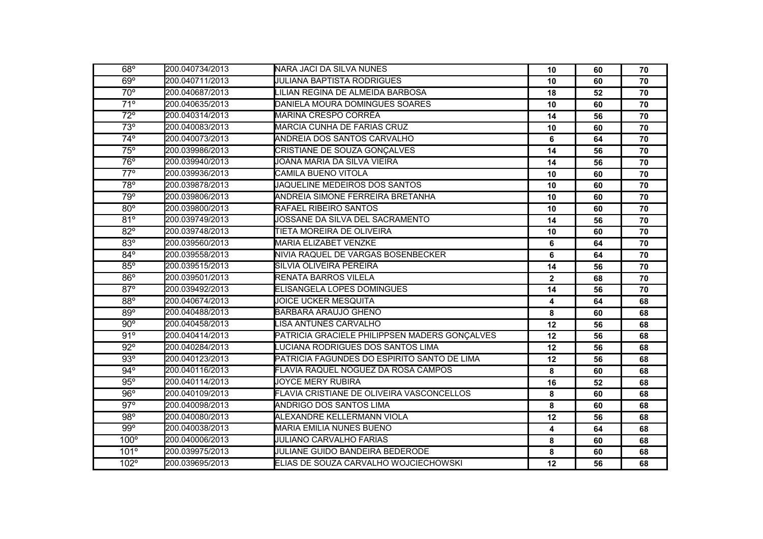| $68^\circ$              | 200.040734/2013 | <b>I</b> NARA JACI DA SILVA NUNES             | 10             | 60 | 70 |
|-------------------------|-----------------|-----------------------------------------------|----------------|----|----|
| 69°                     | 200.040711/2013 | <b>JULIANA BAPTISTA RODRIGUES</b>             | 10             | 60 | 70 |
| $\overline{70^{\circ}}$ | 200.040687/2013 | LILIAN REGINA DE ALMEIDA BARBOSA              | 18             | 52 | 70 |
| $\overline{71^{\circ}}$ | 200.040635/2013 | DANIELA MOURA DOMINGUES SOARES                | 10             | 60 | 70 |
| $\overline{72^{\circ}}$ | 200.040314/2013 | <b>MARINA CRESPO CORRÊA</b>                   | 14             | 56 | 70 |
| $73^\circ$              | 200.040083/2013 | MARCIA CUNHA DE FARIAS CRUZ                   | 10             | 60 | 70 |
| $74^\circ$              | 200.040073/2013 | ANDREIA DOS SANTOS CARVALHO                   | 6              | 64 | 70 |
| $75^\circ$              | 200.039986/2013 | CRISTIANE DE SOUZA GONÇALVES                  | 14             | 56 | 70 |
| 76°                     | 200.039940/2013 | JOANA MARIA DA SILVA VIEIRA                   | 14             | 56 | 70 |
| $77^\circ$              | 200.039936/2013 | CAMILA BUENO VITOLA                           | 10             | 60 | 70 |
| 78°                     | 200.039878/2013 | JAQUELINE MEDEIROS DOS SANTOS                 | 10             | 60 | 70 |
| 79°                     | 200.039806/2013 | ANDREIA SIMONE FERREIRA BRETANHA              | 10             | 60 | 70 |
| $80^\circ$              | 200.039800/2013 | RAFAEL RIBEIRO SANTOS                         | 10             | 60 | 70 |
| $81^\circ$              | 200.039749/2013 | JOSSANE DA SILVA DEL SACRAMENTO               | 14             | 56 | 70 |
| $82^\circ$              | 200.039748/2013 | TIETA MOREIRA DE OLIVEIRA                     | 10             | 60 | 70 |
| $83^\circ$              | 200.039560/2013 | <b>MARIA ELIZABET VENZKE</b>                  | 6              | 64 | 70 |
| $84^\circ$              | 200.039558/2013 | NIVIA RAQUEL DE VARGAS BOSENBECKER            | 6              | 64 | 70 |
| $85^\circ$              | 200.039515/2013 | SILVIA OLIVEIRA PEREIRA                       | 14             | 56 | 70 |
| $86^\circ$              | 200.039501/2013 | <b>RENATA BARROS VILELA</b>                   | $\overline{2}$ | 68 | 70 |
| $87^\circ$              | 200.039492/2013 | ELISANGELA LOPES DOMINGUES                    | 14             | 56 | 70 |
| $88^\circ$              | 200.040674/2013 | <b>JOICE UCKER MESQUITA</b>                   | 4              | 64 | 68 |
| $89^\circ$              | 200.040488/2013 | <b>BARBARA ARAUJO GHENO</b>                   | 8              | 60 | 68 |
| $90^\circ$              | 200.040458/2013 | LISA ANTUNES CARVALHO                         | 12             | 56 | 68 |
| 91°                     | 200.040414/2013 | PATRICIA GRACIELE PHILIPPSEN MADERS GONÇALVES | 12             | 56 | 68 |
| $92^\circ$              | 200.040284/2013 | LUCIANA RODRIGUES DOS SANTOS LIMA             | 12             | 56 | 68 |
| $93^\circ$              | 200.040123/2013 | PATRICIA FAGUNDES DO ESPIRITO SANTO DE LIMA   | 12             | 56 | 68 |
| $94^\circ$              | 200.040116/2013 | FLAVIA RAQUEL NOGUEZ DA ROSA CAMPOS           | 8              | 60 | 68 |
| $95^\circ$              | 200.040114/2013 | <b>JOYCE MERY RUBIRA</b>                      | 16             | 52 | 68 |
| $\overline{96^{\circ}}$ | 200.040109/2013 | FLAVIA CRISTIANE DE OLIVEIRA VASCONCELLOS     | 8              | 60 | 68 |
| $97^\circ$              | 200.040098/2013 | ANDRIGO DOS SANTOS LIMA                       | 8              | 60 | 68 |
| 98°                     | 200.040080/2013 | ALEXANDRE KELLERMANN VIOLA                    | 12             | 56 | 68 |
| 99°                     | 200.040038/2013 | <b>MARIA EMILIA NUNES BUENO</b>               | 4              | 64 | 68 |
| $100^\circ$             | 200.040006/2013 | JULIANO CARVALHO FARIAS                       | 8              | 60 | 68 |
| 101°                    | 200.039975/2013 | JULIANE GUIDO BANDEIRA BEDERODE               | 8              | 60 | 68 |
| 102°                    | 200.039695/2013 | ELIAS DE SOUZA CARVALHO WOJCIECHOWSKI         | 12             | 56 | 68 |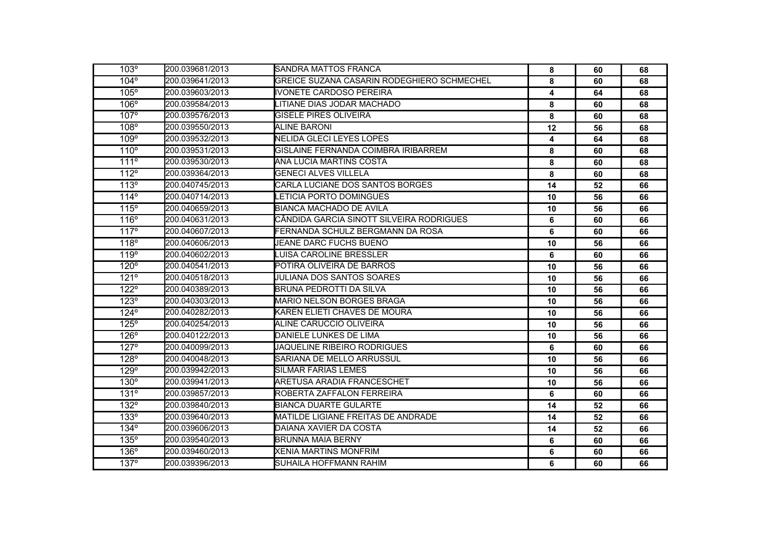| 103°                 | 200.039681/2013 | ISANDRA MATTOS FRANCA                      | 8  | 60 | 68 |
|----------------------|-----------------|--------------------------------------------|----|----|----|
| $104^\circ$          | 200.039641/2013 | GREICE SUZANA CASARIN RODEGHIERO SCHMECHEL | 8  | 60 | 68 |
| 105°                 | 200.039603/2013 | <b>IVONETE CARDOSO PEREIRA</b>             | 4  | 64 | 68 |
| 106°                 | 200.039584/2013 | LITIANE DIAS JODAR MACHADO                 | 8  | 60 | 68 |
| $107^\circ$          | 200.039576/2013 | <b>GISELE PIRES OLIVEIRA</b>               | 8  | 60 | 68 |
| 108°                 | 200.039550/2013 | <b>ALINE BARONI</b>                        | 12 | 56 | 68 |
| 109°                 | 200.039532/2013 | NELIDA GLECI LEYES LOPES                   | 4  | 64 | 68 |
| 110°                 | 200.039531/2013 | GISLAINE FERNANDA COIMBRA IRIBARREM        | 8  | 60 | 68 |
| 111°                 | 200.039530/2013 | IANA LUCIA MARTINS COSTA                   | 8  | 60 | 68 |
| 112°                 | 200.039364/2013 | <b>GENECI ALVES VILLELA</b>                | 8  | 60 | 68 |
| 113°                 | 200.040745/2013 | CARLA LUCIANE DOS SANTOS BORGES            | 14 | 52 | 66 |
| 114°                 | 200.040714/2013 | LETICIA PORTO DOMINGUES                    | 10 | 56 | 66 |
| 115°                 | 200.040659/2013 | BIANCA MACHADO DE AVILA                    | 10 | 56 | 66 |
| 116°                 | 200.040631/2013 | ICÂNDIDA GARCIA SINOTT SILVEIRA RODRIGUES  | 6  | 60 | 66 |
| 117°                 | 200.040607/2013 | FERNANDA SCHULZ BERGMANN DA ROSA           | 6  | 60 | 66 |
| 118°                 | 200.040606/2013 | JEANE DARC FUCHS BUENO                     | 10 | 56 | 66 |
| 119°                 | 200.040602/2013 | LUISA CAROLINE BRESSLER                    | 6  | 60 | 66 |
| $120^\circ$          | 200.040541/2013 | POTIRA OLIVEIRA DE BARROS                  | 10 | 56 | 66 |
| 121°                 | 200.040518/2013 | <b>JULIANA DOS SANTOS SOARES</b>           | 10 | 56 | 66 |
| 122°                 | 200.040389/2013 | BRUNA PEDROTTI DA SILVA                    | 10 | 56 | 66 |
| 123°                 | 200.040303/2013 | MARIO NELSON BORGES BRAGA                  | 10 | 56 | 66 |
| $124^\circ$          | 200.040282/2013 | KAREN ELIETI CHAVES DE MOURA               | 10 | 56 | 66 |
| 125°                 | 200.040254/2013 | ALINE CARUCCIO OLIVEIRA                    | 10 | 56 | 66 |
| $126^{\circ}$        | 200.040122/2013 | DANIELE LUNKES DE LIMA                     | 10 | 56 | 66 |
| $127^\circ$          | 200.040099/2013 | JAQUELINE RIBEIRO RODRIGUES                | 6  | 60 | 66 |
| 128°                 | 200.040048/2013 | ISARIANA DE MELLO ARRUSSUL                 | 10 | 56 | 66 |
| 129°                 | 200.039942/2013 | <b>SILMAR FARIAS LEMES</b>                 | 10 | 56 | 66 |
| $130^\circ$          | 200.039941/2013 | <b>IARETUSA ARADIA FRANCESCHET</b>         | 10 | 56 | 66 |
| $131^{\overline{0}}$ | 200.039857/2013 | ROBERTA ZAFFALON FERREIRA                  | 6  | 60 | 66 |
| 132°                 | 200.039840/2013 | <b>BIANCA DUARTE GULARTE</b>               | 14 | 52 | 66 |
| 133°                 | 200.039640/2013 | MATILDE LIGIANE FREITAS DE ANDRADE         | 14 | 52 | 66 |
| $134^\circ$          | 200.039606/2013 | IDAIANA XAVIER DA COSTA                    | 14 | 52 | 66 |
| 135°                 | 200.039540/2013 | <b>IBRUNNA MAIA BERNY</b>                  | 6  | 60 | 66 |
| $136^\circ$          | 200.039460/2013 | XENIA MARTINS MONFRIM                      | 6  | 60 | 66 |
| $137^\circ$          | 200.039396/2013 | SUHAILA HOFFMANN RAHIM                     | 6  | 60 | 66 |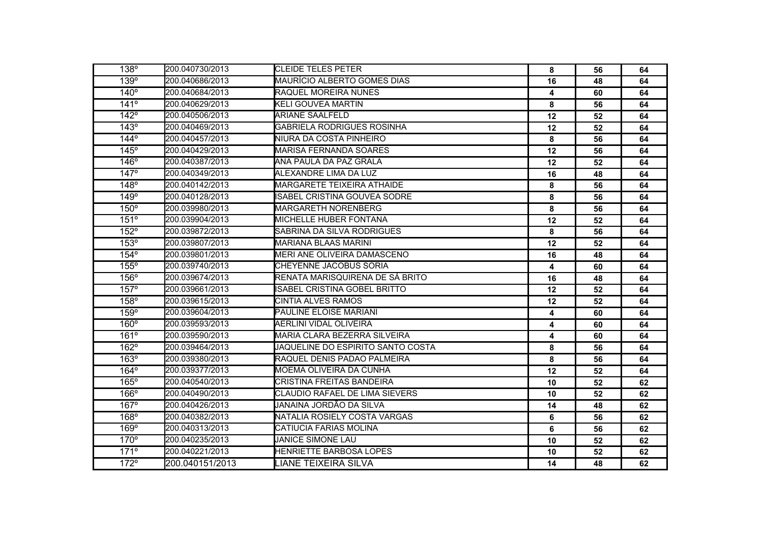| 138°        | <b>I</b> 200.040730/2013 | <b>I</b> CLEIDE TELES PETER           | 8  | 56 | 64 |
|-------------|--------------------------|---------------------------------------|----|----|----|
| 139°        | 200.040686/2013          | MAURÍCIO ALBERTO GOMES DIAS           | 16 | 48 | 64 |
| $140^\circ$ | 200.040684/2013          | RAQUEL MOREIRA NUNES                  | 4  | 60 | 64 |
| $141^\circ$ | 200.040629/2013          | <b>KELI GOUVEA MARTIN</b>             | 8  | 56 | 64 |
| $142^\circ$ | 200.040506/2013          | <b>ARIANE SAALFELD</b>                | 12 | 52 | 64 |
| $143^\circ$ | 200.040469/2013          | <b>GABRIELA RODRIGUES ROSINHA</b>     | 12 | 52 | 64 |
| $144^\circ$ | 200.040457/2013          | NIURA DA COSTA PINHEIRO               | 8  | 56 | 64 |
| 145°        | 200.040429/2013          | <b>MARISA FERNANDA SOARES</b>         | 12 | 56 | 64 |
| 146°        | 200.040387/2013          | ANA PAULA DA PAZ GRALA                | 12 | 52 | 64 |
| $147^\circ$ | 200.040349/2013          | ALEXANDRE LIMA DA LUZ                 | 16 | 48 | 64 |
| 148°        | 200.040142/2013          | <b>MARGARETE TEIXEIRA ATHAIDE</b>     | 8  | 56 | 64 |
| 149°        | 200.040128/2013          | ISABEL CRISTINA GOUVEA SODRE          | 8  | 56 | 64 |
| $150^\circ$ | 200.039980/2013          | <b>MARGARETH NORENBERG</b>            | 8  | 56 | 64 |
| 151°        | 200.039904/2013          | <b>MICHELLE HUBER FONTANA</b>         | 12 | 52 | 64 |
| 152°        | 200.039872/2013          | SABRINA DA SILVA RODRIGUES            | 8  | 56 | 64 |
| 153°        | 200.039807/2013          | MARIANA BLAAS MARINI                  | 12 | 52 | 64 |
| 154°        | 200.039801/2013          | <b>MERI ANE OLIVEIRA DAMASCENO</b>    | 16 | 48 | 64 |
| 155°        | 200.039740/2013          | CHEYENNE JACOBUS SORIA                | 4  | 60 | 64 |
| 156°        | 200.039674/2013          | RENATA MARISQUIRENA DE SÁ BRITO       | 16 | 48 | 64 |
| $157^\circ$ | 200.039661/2013          | ISABEL CRISTINA GOBEL BRITTO          | 12 | 52 | 64 |
| 158°        | 200.039615/2013          | <b>CINTIA ALVES RAMOS</b>             | 12 | 52 | 64 |
| 159°        | 200.039604/2013          | PAULINE ELOISE MARIANI                | 4  | 60 | 64 |
| $160^\circ$ | 200.039593/2013          | AERLINI VIDAL OLIVEIRA                | 4  | 60 | 64 |
| 161°        | 200.039590/2013          | MARIA CLARA BEZERRA SILVEIRA          | 4  | 60 | 64 |
| 162°        | 200.039464/2013          | JAQUELINE DO ESPIRITO SANTO COSTA     | 8  | 56 | 64 |
| 163°        | 200.039380/2013          | RAQUEL DENIS PADAO PALMEIRA           | 8  | 56 | 64 |
| $164^\circ$ | 200.039377/2013          | MOEMA OLIVEIRA DA CUNHA               | 12 | 52 | 64 |
| $165^\circ$ | 200.040540/2013          | ICRISTINA FREITAS BANDEIRA            | 10 | 52 | 62 |
| 166°        | 200.040490/2013          | <b>CLAUDIO RAFAEL DE LIMA SIEVERS</b> | 10 | 52 | 62 |
| 167°        | 200.040426/2013          | JANAINA JORDÃO DA SILVA               | 14 | 48 | 62 |
| 168°        | 200.040382/2013          | NATALIA ROSIELY COSTA VARGAS          | 6  | 56 | 62 |
| 169°        | 200.040313/2013          | ICATIUCIA FARIAS MOLINA               | 6  | 56 | 62 |
| 170°        | 200.040235/2013          | <b>JANICE SIMONE LAU</b>              | 10 | 52 | 62 |
| 171°        | 200.040221/2013          | HENRIETTE BARBOSA LOPES               | 10 | 52 | 62 |
| $172^\circ$ | 200.040151/2013          | LIANE TEIXEIRA SILVA                  | 14 | 48 | 62 |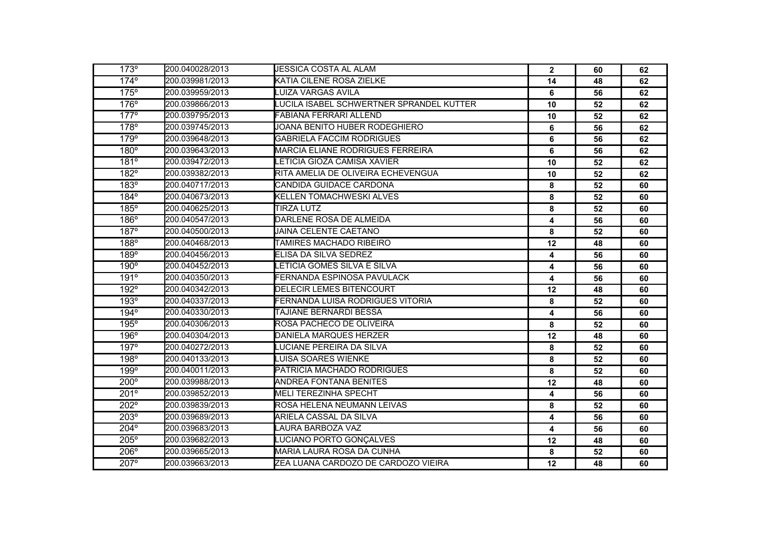| 173°        | 200.040028/2013         | <b>JESSICA COSTA AL ALAM</b>             | $\overline{2}$          | 60 | 62 |
|-------------|-------------------------|------------------------------------------|-------------------------|----|----|
| $174^\circ$ | 200.039981/2013         | KATIA CILENE ROSA ZIELKE                 | 14                      | 48 | 62 |
| 175°        | 200.039959/2013         | <b>LUIZA VARGAS AVILA</b>                | 6                       | 56 | 62 |
| $176^\circ$ | 200.039866/2013         | LUCILA ISABEL SCHWERTNER SPRANDEL KUTTER | 10                      | 52 | 62 |
| $177^\circ$ | 200.039795/2013         | FABIANA FERRARI ALLEND                   | 10                      | 52 | 62 |
| 178°        | 200.039745/2013         | JOANA BENITO HUBER RODEGHIERO            | 6                       | 56 | 62 |
| 179°        | 200.039648/2013         | <b>GABRIELA FACCIM RODRIGUES</b>         | 6                       | 56 | 62 |
| $180^\circ$ | 200.039643/2013         | MARCIA ELIANE RODRIGUES FERREIRA         | 6                       | 56 | 62 |
| 181°        | <b>2</b> 00.039472/2013 | LETICIA GIOZA CAMISA XAVIER              | 10                      | 52 | 62 |
| 182°        | 200.039382/2013         | RITA AMELIA DE OLIVEIRA ECHEVENGUA       | 10                      | 52 | 62 |
| 183°        | 200.040717/2013         | CANDIDA GUIDACE CARDONA                  | 8                       | 52 | 60 |
| $184^\circ$ | 200.040673/2013         | <b>KELLEN TOMACHWESKI ALVES</b>          | 8                       | 52 | 60 |
| 185°        | 200.040625/2013         | <b>TIRZA LUTZ</b>                        | 8                       | 52 | 60 |
| 186°        | 200.040547/2013         | DARLENE ROSA DE ALMEIDA                  | 4                       | 56 | 60 |
| $187^\circ$ | 200.040500/2013         | JAINA CELENTE CAETANO                    | 8                       | 52 | 60 |
| 188°        | 200.040468/2013         | TAMIRES MACHADO RIBEIRO                  | 12                      | 48 | 60 |
| 189°        | 200.040456/2013         | ELISA DA SILVA SEDREZ                    | 4                       | 56 | 60 |
| 190°        | 200.040452/2013         | LETICIA GOMES SILVA E SILVA              | 4                       | 56 | 60 |
| 191°        | 200.040350/2013         | FERNANDA ESPINOSA PAVULACK               | $\overline{\mathbf{4}}$ | 56 | 60 |
| 192°        | 200.040342/2013         | DELECIR LEMES BITENCOURT                 | 12                      | 48 | 60 |
| $193^\circ$ | 200.040337/2013         | FERNANDA LUISA RODRIGUES VITORIA         | 8                       | 52 | 60 |
| 194°        | 200.040330/2013         | TAJIANE BERNARDI BESSA                   | 4                       | 56 | 60 |
| 195°        | 200.040306/2013         | ROSA PACHECO DE OLIVEIRA                 | 8                       | 52 | 60 |
| 196°        | 200.040304/2013         | DANIELA MARQUES HERZER                   | 12                      | 48 | 60 |
| $197^\circ$ | 200.040272/2013         | LUCIANE PEREIRA DA SILVA                 | 8                       | 52 | 60 |
| 198°        | 200.040133/2013         | LUISA SOARES WIENKE                      | 8                       | 52 | 60 |
| 199°        | 200.040011/2013         | PATRICIA MACHADO RODRIGUES               | 8                       | 52 | 60 |
| $200^\circ$ | 200.039988/2013         | <b>ANDREA FONTANA BENITES</b>            | 12                      | 48 | 60 |
| 201°        | 200.039852/2013         | <b>MELI TEREZINHA SPECHT</b>             | 4                       | 56 | 60 |
| 202°        | 200.039839/2013         | ROSA HELENA NEUMANN LEIVAS               | 8                       | 52 | 60 |
| $203^\circ$ | 200.039689/2013         | ARIELA CASSAL DA SILVA                   | 4                       | 56 | 60 |
| 204°        | 200.039683/2013         | LAURA BARBOZA VAZ                        | 4                       | 56 | 60 |
| $205^\circ$ | 200.039682/2013         | LUCIANO PORTO GONÇALVES                  | 12                      | 48 | 60 |
| 206°        | 200.039665/2013         | MARIA LAURA ROSA DA CUNHA                | 8                       | 52 | 60 |
| 207°        | 200.039663/2013         | ZEA LUANA CARDOZO DE CARDOZO VIEIRA      | 12                      | 48 | 60 |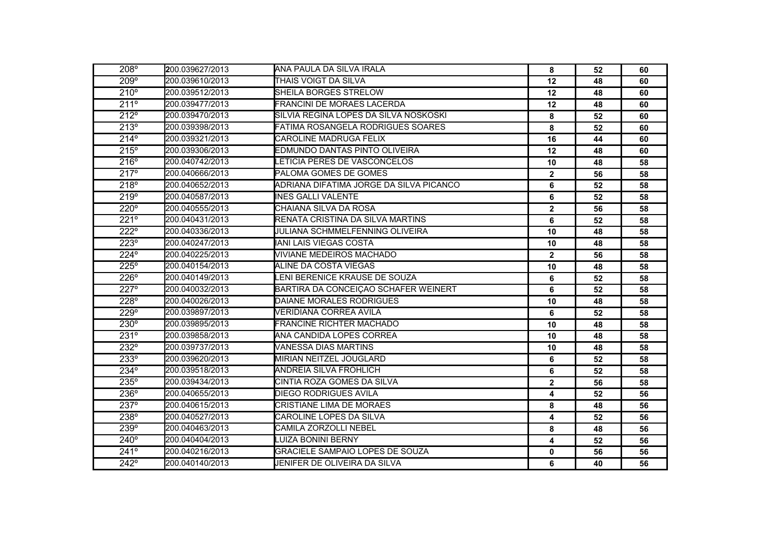| $208^\circ$   | <b>2</b> 00.039627/2013 | IANA PAULA DA SILVA IRALA               | 8                       | 52 | 60 |
|---------------|-------------------------|-----------------------------------------|-------------------------|----|----|
| 209°          | 200.039610/2013         | THAIS VOIGT DA SILVA                    | 12                      | 48 | 60 |
| 210°          | 200.039512/2013         | SHEILA BORGES STRELOW                   | 12                      | 48 | 60 |
| 211°          | 200.039477/2013         | <b>FRANCINI DE MORAES LACERDA</b>       | 12                      | 48 | 60 |
| 212°          | 200.039470/2013         | SILVIA REGINA LOPES DA SILVA NOSKOSKI   | 8                       | 52 | 60 |
| 213°          | 200.039398/2013         | FATIMA ROSANGELA RODRIGUES SOARES       | 8                       | 52 | 60 |
| $214^{\circ}$ | 200.039321/2013         | <b>CAROLINE MADRUGA FELIX</b>           | 16                      | 44 | 60 |
| 215°          | 200.039306/2013         | EDMUNDO DANTAS PINTO OLIVEIRA           | 12                      | 48 | 60 |
| 216°          | 200.040742/2013         | LETICIA PERES DE VASCONCELOS            | 10                      | 48 | 58 |
| 217°          | 200.040666/2013         | PALOMA GOMES DE GOMES                   | $\overline{\mathbf{2}}$ | 56 | 58 |
| 218°          | 200.040652/2013         | ADRIANA DIFATIMA JORGE DA SILVA PICANCO | 6                       | 52 | 58 |
| 219°          | 200.040587/2013         | <b>INES GALLI VALENTE</b>               | 6                       | 52 | 58 |
| $220^\circ$   | 200.040555/2013         | ICHAIANA SILVA DA ROSA                  | $\mathbf{2}$            | 56 | 58 |
| 221°          | 200.040431/2013         | RENATA CRISTINA DA SILVA MARTINS        | 6                       | 52 | 58 |
| 222°          | 200.040336/2013         | <b>JULIANA SCHMMELFENNING OLIVEIRA</b>  | 10                      | 48 | 58 |
| $223^\circ$   | 200.040247/2013         | <b>IANI LAIS VIEGAS COSTA</b>           | 10                      | 48 | 58 |
| 224°          | 200.040225/2013         | VIVIANE MEDEIROS MACHADO                | $\mathbf{2}$            | 56 | 58 |
| 225°          | 200.040154/2013         | ALINE DA COSTA VIEGAS                   | 10                      | 48 | 58 |
| 226°          | 200.040149/2013         | LENI BERENICE KRAUSE DE SOUZA           | 6                       | 52 | 58 |
| 227°          | 200.040032/2013         | BARTIRA DA CONCEIÇAO SCHAFER WEINERT    | 6                       | 52 | 58 |
| 228°          | 200.040026/2013         | DAIANE MORALES RODRIGUES                | 10                      | 48 | 58 |
| 229°          | 200.039897/2013         | VERIDIANA CORREA AVILA                  | 6                       | 52 | 58 |
| 230°          | 200.039895/2013         | FRANCINE RICHTER MACHADO                | 10                      | 48 | 58 |
| 231°          | 200.039858/2013         | IANA CANDIDA LOPES CORREA               | 10                      | 48 | 58 |
| $232^\circ$   | 200.039737/2013         | VANESSA DIAS MARTINS                    | 10                      | 48 | 58 |
| 233°          | 200.039620/2013         | MIRIAN NEITZEL JOUGLARD                 | 6                       | 52 | 58 |
| $234^\circ$   | 200.039518/2013         | <b>ANDREIA SILVA FROHLICH</b>           | 6                       | 52 | 58 |
| $235^\circ$   | 200.039434/2013         | ICINTIA ROZA GOMES DA SILVA             | $\overline{\mathbf{2}}$ | 56 | 58 |
| 236°          | 200.040655/2013         | DIEGO RODRIGUES AVILA                   | 4                       | 52 | 56 |
| 237°          | 200.040615/2013         | CRISTIANE LIMA DE MORAES                | 8                       | 48 | 56 |
| 238°          | 200.040527/2013         | CAROLINE LOPES DA SILVA                 | 4                       | 52 | 56 |
| 239°          | 200.040463/2013         | CAMILA ZORZOLLI NEBEL                   | 8                       | 48 | 56 |
| $240^\circ$   | 200.040404/2013         | <b>LUIZA BONINI BERNY</b>               | 4                       | 52 | 56 |
| 241°          | 200.040216/2013         | GRACIELE SAMPAIO LOPES DE SOUZA         | 0                       | 56 | 56 |
| $242^\circ$   | 200.040140/2013         | JENIFER DE OLIVEIRA DA SILVA            | 6                       | 40 | 56 |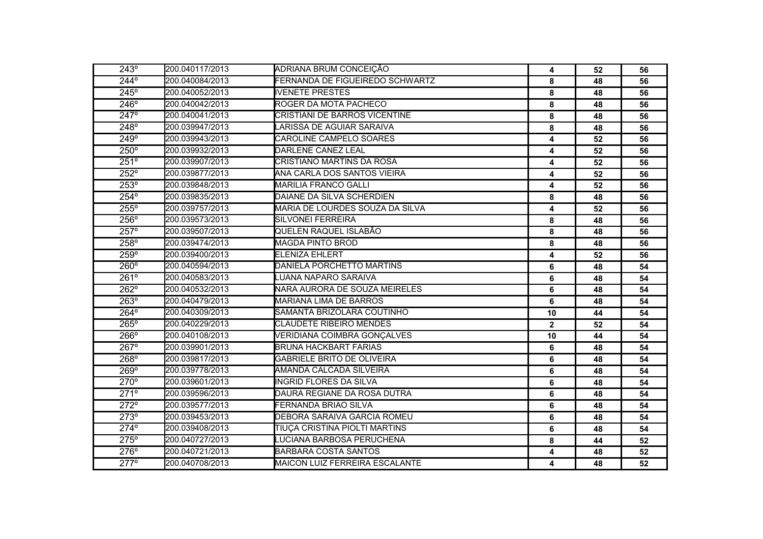| 243°        | 200.040117/2013 | ADRIANA BRUM CONCEIÇÃO             | 4            | 52 | 56 |
|-------------|-----------------|------------------------------------|--------------|----|----|
| $244^\circ$ | 200.040084/2013 | FERNANDA DE FIGUEIREDO SCHWARTZ    | 8            | 48 | 56 |
| 245°        | 200.040052/2013 | <b>IVENETE PRESTES</b>             | 8            | 48 | 56 |
| 246°        | 200.040042/2013 | ROGER DA MOTA PACHECO              | 8            | 48 | 56 |
| $247^\circ$ | 200.040041/2013 | CRISTIANI DE BARROS VICENTINE      | 8            | 48 | 56 |
| 248°        | 200.039947/2013 | LARISSA DE AGUIAR SARAIVA          | 8            | 48 | 56 |
| $249^\circ$ | 200.039943/2013 | CAROLINE CAMPELO SOARES            | 4            | 52 | 56 |
| $250^\circ$ | 200.039932/2013 | DARLENE CANEZ LEAL                 | 4            | 52 | 56 |
| 251°        | 200.039907/2013 | CRISTIANO MARTINS DA ROSA          | 4            | 52 | 56 |
| 252°        | 200.039877/2013 | ANA CARLA DOS SANTOS VIEIRA        | 4            | 52 | 56 |
| 253°        | 200.039848/2013 | <b>MARILIA FRANCO GALLI</b>        | 4            | 52 | 56 |
| 254°        | 200.039835/2013 | DAIANE DA SILVA SCHERDIEN          | 8            | 48 | 56 |
| 255°        | 200.039757/2013 | MARIA DE LOURDES SOUZA DA SILVA    | 4            | 52 | 56 |
| 256°        | 200.039573/2013 | <b>SILVONEI FERREIRA</b>           | 8            | 48 | 56 |
| $257^\circ$ | 200.039507/2013 | QUELEN RAQUEL ISLABÃO              | 8            | 48 | 56 |
| 258°        | 200.039474/2013 | MAGDA PINTO BROD                   | 8            | 48 | 56 |
| 259°        | 200.039400/2013 | <b>ELENIZA EHLERT</b>              | 4            | 52 | 56 |
| 260°        | 200.040594/2013 | DANIELA PORCHETTO MARTINS          | 6            | 48 | 54 |
| $261^\circ$ | 200.040583/2013 | LUANA NAPARO SARAIVA               | 6            |    | 54 |
| 262°        | 200.040532/2013 | NARA AURORA DE SOUZA MEIRELES<br>6 |              | 48 | 54 |
| 263°        | 200.040479/2013 | <b>MARIANA LIMA DE BARROS</b>      | 6<br>48      |    | 54 |
| 264°        | 200.040309/2013 | SAMANTA BRIZOLARA COUTINHO         | 10           | 44 | 54 |
| $265^\circ$ | 200.040229/2013 | <b>CLAUDETE RIBEIRO MENDES</b>     | $\mathbf{2}$ | 52 | 54 |
| 266°        | 200.040108/2013 | VERIDIANA COIMBRA GONÇALVES        | 10           | 44 | 54 |
| $267^\circ$ | 200.039901/2013 | <b>BRUNA HACKBART FARIAS</b>       | 6            | 48 | 54 |
| 268°        | 200.039817/2013 | <b>GABRIELE BRITO DE OLIVEIRA</b>  | 6            | 48 | 54 |
| $269^\circ$ | 200.039778/2013 | AMANDA CALCADA SILVEIRA            | 6            | 48 | 54 |
| $270^\circ$ | 200.039601/2013 | <b>INGRID FLORES DA SILVA</b>      | 6            | 48 | 54 |
| 271°        | 200.039596/2013 | DAURA REGIANE DA ROSA DUTRA        | 6            | 48 | 54 |
| 272°        | 200.039577/2013 | FERNANDA BRIAO SILVA               | 6            | 48 | 54 |
| 273°        | 200.039453/2013 | DEBORA SARAIVA GARCIA ROMEU        | 6            | 48 | 54 |
| 274°        | 200.039408/2013 | TIUÇA CRISTINA PIOLTI MARTINS      | 6            | 48 | 54 |
| 275°        | 200.040727/2013 | LUCIANA BARBOSA PERUCHENA          | 8            | 44 | 52 |
| 276°        | 200.040721/2013 | <b>BARBARA COSTA SANTOS</b>        | 4            | 48 | 52 |
| $277^\circ$ | 200.040708/2013 | MAICON LUIZ FERREIRA ESCALANTE     | 4            | 48 | 52 |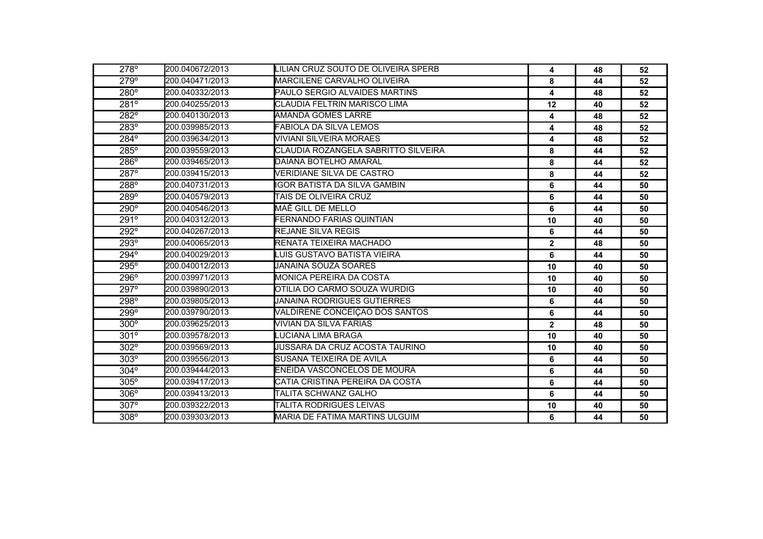| 278°        | 200.040672/2013 | LILIAN CRUZ SOUTO DE OLIVEIRA SPERB | 4              | 48 | 52 |
|-------------|-----------------|-------------------------------------|----------------|----|----|
| 279°        | 200.040471/2013 | MARCILENE CARVALHO OLIVEIRA         | 8              | 44 | 52 |
| $280^\circ$ | 200.040332/2013 | PAULO SERGIO ALVAIDES MARTINS       | 4              | 48 | 52 |
| 281°        | 200.040255/2013 | ICLAUDIA FELTRIN MARISCO LIMA       | 12             | 40 | 52 |
| $282^\circ$ | 200.040130/2013 | <b>AMANDA GOMES LARRE</b>           | 4              | 48 | 52 |
| $283^\circ$ | 200.039985/2013 | <b>FABIOLA DA SILVA LEMOS</b>       | 4              | 48 | 52 |
| 284°        | 200.039634/2013 | VIVIANI SILVEIRA MORAES             | 4              | 48 | 52 |
| $285^\circ$ | 200.039559/2013 | CLAUDIA ROZANGELA SABRITTO SILVEIRA | 8              | 44 | 52 |
| 286°        | 200.039465/2013 | DAIANA BOTELHO AMARAL               | 8              | 44 | 52 |
| 287°        | 200.039415/2013 | VERIDIANE SILVA DE CASTRO           | 8              | 44 | 52 |
| 288°        | 200.040731/2013 | IGOR BATISTA DA SILVA GAMBIN        | 6              | 44 | 50 |
| 289°        | 200.040579/2013 | TAIS DE OLIVEIRA CRUZ               | 6              | 44 | 50 |
| $290^\circ$ | 200.040546/2013 | MAÊ GILL DE MELLO                   | 6              | 44 | 50 |
| 291°        | 200.040312/2013 | FERNANDO FARIAS QUINTIAN            | 10             | 40 | 50 |
| 292°        | 200.040267/2013 | <b>REJANE SILVA REGIS</b>           | 6              | 44 | 50 |
| $293^\circ$ | 200.040065/2013 | RENATA TEIXEIRA MACHADO             | $\overline{2}$ | 48 | 50 |
| $294^\circ$ | 200.040029/2013 | LUIS GUSTAVO BATISTA VIEIRA         | 6              | 44 | 50 |
| 295°        | 200.040012/2013 | JANAINA SOUZA SOARES                | 10             | 40 | 50 |
| 296°        | 200.039971/2013 | <b>MONICA PEREIRA DA COSTA</b>      | 10             | 40 | 50 |
| 297°        | 200.039890/2013 | OTILIA DO CARMO SOUZA WURDIG        | 10             | 40 | 50 |
| 298°        | 200.039805/2013 | <b>JANAINA RODRIGUES GUTIERRES</b>  | 6              | 44 | 50 |
| 299°        | 200.039790/2013 | VALDIRENE CONCEIÇAO DOS SANTOS      | 6              | 44 | 50 |
| $300^\circ$ | 200.039625/2013 | VIVIAN DA SILVA FARIAS              | $\overline{2}$ | 48 | 50 |
| $301^\circ$ | 200.039578/2013 | LUCIANA LIMA BRAGA                  | 10             | 40 | 50 |
| $302^\circ$ | 200.039569/2013 | JUSSARA DA CRUZ ACOSTA TAURINO      | 10             | 40 | 50 |
| 303°        | 200.039556/2013 | SUSANA TEIXEIRA DE AVILA            | 6              | 44 | 50 |
| $304^\circ$ | 200.039444/2013 | ENEIDA VASCONCELOS DE MOURA         | 6              | 44 | 50 |
| 305°        | 200.039417/2013 | CATIA CRISTINA PEREIRA DA COSTA     | 6              | 44 | 50 |
| 306°        | 200.039413/2013 | TALITA SCHWANZ GALHO                | 6              | 44 | 50 |
| 307°        | 200.039322/2013 | TALITA RODRIGUES LEIVAS             | 10             | 40 | 50 |
| $308^\circ$ | 200.039303/2013 | MARIA DE FATIMA MARTINS ULGUIM      | 6              | 44 | 50 |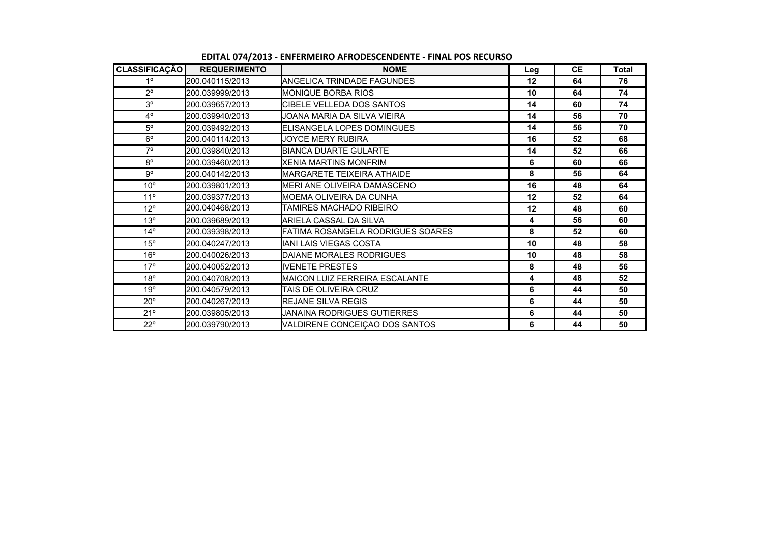| CLASSIFICAÇÃO   | <b>REQUERIMENTO</b>    | <b>NOME</b>                         | Leg     | <b>CE</b> | <b>Total</b> |
|-----------------|------------------------|-------------------------------------|---------|-----------|--------------|
| $1^{\circ}$     | <b>200.040115/2013</b> | IANGELICA TRINDADE FAGUNDES         | $12 \,$ | 64        | 76           |
| $2^{\circ}$     | 200.039999/2013        | <b>I</b> MONIQUE BORBA RIOS         | 10      | 64        | 74           |
| 3 <sup>o</sup>  | 200.039657/2013        | ICIBELE VELLEDA DOS SANTOS          | 14      | 60        | 74           |
| $4^{\circ}$     | 200.039940/2013        | JOANA MARIA DA SILVA VIEIRA         | 14      | 56        | 70           |
| $5^{\circ}$     | 200.039492/2013        | <b>I</b> ELISANGELA LOPES DOMINGUES | 14      | 56        | 70           |
| $6^{\circ}$     | 200.040114/2013        | JOYCE MERY RUBIRA                   | 16      | 52        | 68           |
| $7^\circ$       | 200.039840/2013        | BIANCA DUARTE GULARTE               | 14      | 52        | 66           |
| $8^{\circ}$     | 200.039460/2013        | <b>XENIA MARTINS MONFRIM</b>        | 6       | 60        | 66           |
| g°              | 200.040142/2013        | <b>I</b> MARGARETE TEIXEIRA ATHAIDE | 8       | 56        | 64           |
| 10 <sup>o</sup> | 200.039801/2013        | IMERI ANE OLIVEIRA DAMASCENO        | 16      | 48        | 64           |
| 11 <sup>°</sup> | 200.039377/2013        | IMOEMA OLIVEIRA DA CUNHA            | 12      | 52        | 64           |
| $12^{\circ}$    | 200.040468/2013        | TAMIRES MACHADO RIBEIRO             | 12      | 48        | 60           |
| 13 <sup>°</sup> | 200.039689/2013        | IARIELA CASSAL DA SILVA             | 4       | 56        | 60           |
| $14^{\circ}$    | 200.039398/2013        | FATIMA ROSANGELA RODRIGUES SOARES   | 8       | 52        | 60           |
| $15^{\circ}$    | 200.040247/2013        | IANI LAIS VIEGAS COSTA              | 10      | 48        | 58           |
| $16^{\circ}$    | 200.040026/2013        | DAIANE MORALES RODRIGUES            | 10      | 48        | 58           |
| 17°             | 200.040052/2013        | <b>IIVENETE PRESTES</b>             | 8       | 48        | 56           |
| 18°             | 200.040708/2013        | IMAICON LUIZ FERREIRA ESCALANTE     | 4       | 48        | 52           |
| 19°             | 200.040579/2013        | ITAIS DE OLIVEIRA CRUZ              | 6       | 44        | 50           |
| $20^{\circ}$    | 200.040267/2013        | <b>REJANE SILVA REGIS</b>           | 6       | 44        | 50           |
| $21^{\circ}$    | 200.039805/2013        | JANAINA RODRIGUES GUTIERRES.        | 6       | 44        | 50           |
| $22^{\circ}$    | 200.039790/2013        | VALDIRENE CONCEICAO DOS SANTOS      | 6       | 44        | 50           |

**EDITAL 074/2013 - ENFERMEIRO AFRODESCENDENTE - FINAL POS RECURSO**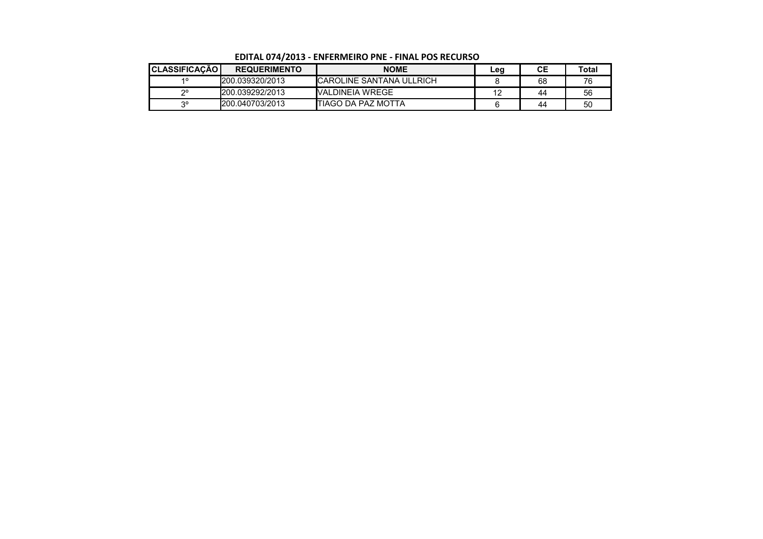| <b>CLASSIFICAÇÃO</b> | <b>REQUERIMENTO</b> | <b>NOME</b>                      | ∟eg | CЕ | Total |
|----------------------|---------------------|----------------------------------|-----|----|-------|
| 40                   | 1200.039320/2013    | <b>ICAROLINE SANTANA ULLRICH</b> |     | 68 | 76    |
| റാ                   | 200.039292/2013     | <b>IVALDINEIA WREGE</b>          |     | 44 | 56    |
| ာ၀                   | 200.040703/2013     | ITIAGO DA PAZ MOTTA              |     | 44 | 50    |

**EDITAL 074/2013 - ENFERMEIRO PNE - FINAL POS RECURSO**